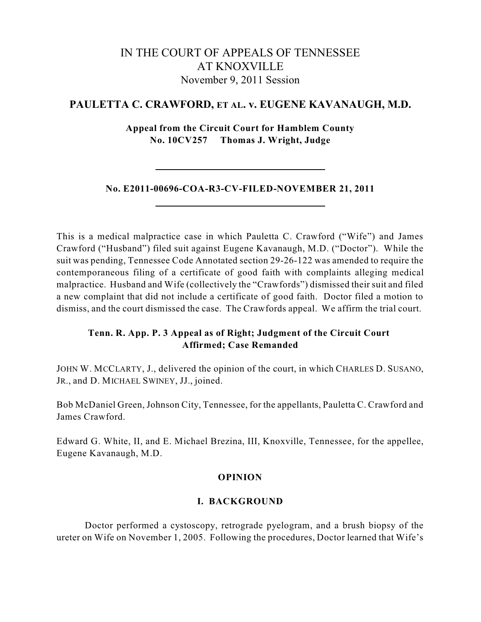# IN THE COURT OF APPEALS OF TENNESSEE AT KNOXVILLE November 9, 2011 Session

# **PAULETTA C. CRAWFORD, ET AL. v. EUGENE KAVANAUGH, M.D.**

**Appeal from the Circuit Court for Hamblem County No. 10CV257 Thomas J. Wright, Judge**

## **No. E2011-00696-COA-R3-CV-FILED-NOVEMBER 21, 2011**

This is a medical malpractice case in which Pauletta C. Crawford ("Wife") and James Crawford ("Husband") filed suit against Eugene Kavanaugh, M.D. ("Doctor"). While the suit was pending, Tennessee Code Annotated section 29-26-122 was amended to require the contemporaneous filing of a certificate of good faith with complaints alleging medical malpractice. Husband and Wife (collectively the "Crawfords") dismissed their suit and filed a new complaint that did not include a certificate of good faith. Doctor filed a motion to dismiss, and the court dismissed the case. The Crawfords appeal. We affirm the trial court.

## **Tenn. R. App. P. 3 Appeal as of Right; Judgment of the Circuit Court Affirmed; Case Remanded**

JOHN W. MCCLARTY, J., delivered the opinion of the court, in which CHARLES D. SUSANO, JR., and D. MICHAEL SWINEY, JJ., joined.

Bob McDaniel Green, Johnson City, Tennessee, for the appellants, Pauletta C. Crawford and James Crawford.

Edward G. White, II, and E. Michael Brezina, III, Knoxville, Tennessee, for the appellee, Eugene Kavanaugh, M.D.

## **OPINION**

## **I. BACKGROUND**

Doctor performed a cystoscopy, retrograde pyelogram, and a brush biopsy of the ureter on Wife on November 1, 2005. Following the procedures, Doctor learned that Wife's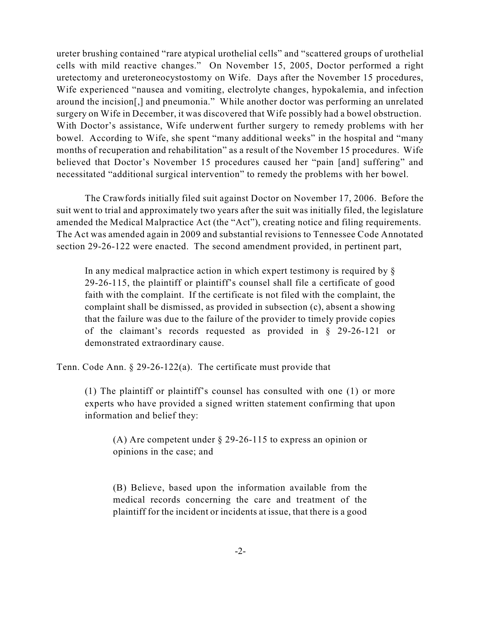ureter brushing contained "rare atypical urothelial cells" and "scattered groups of urothelial cells with mild reactive changes." On November 15, 2005, Doctor performed a right uretectomy and ureteroneocystostomy on Wife. Days after the November 15 procedures, Wife experienced "nausea and vomiting, electrolyte changes, hypokalemia, and infection around the incision[,] and pneumonia." While another doctor was performing an unrelated surgery on Wife in December, it was discovered that Wife possibly had a bowel obstruction. With Doctor's assistance, Wife underwent further surgery to remedy problems with her bowel. According to Wife, she spent "many additional weeks" in the hospital and "many months of recuperation and rehabilitation" as a result of the November 15 procedures. Wife believed that Doctor's November 15 procedures caused her "pain [and] suffering" and necessitated "additional surgical intervention" to remedy the problems with her bowel.

The Crawfords initially filed suit against Doctor on November 17, 2006. Before the suit went to trial and approximately two years after the suit was initially filed, the legislature amended the Medical Malpractice Act (the "Act"), creating notice and filing requirements. The Act was amended again in 2009 and substantial revisions to Tennessee Code Annotated section 29-26-122 were enacted. The second amendment provided, in pertinent part,

In any medical malpractice action in which expert testimony is required by § 29-26-115, the plaintiff or plaintiff's counsel shall file a certificate of good faith with the complaint. If the certificate is not filed with the complaint, the complaint shall be dismissed, as provided in subsection (c), absent a showing that the failure was due to the failure of the provider to timely provide copies of the claimant's records requested as provided in § 29-26-121 or demonstrated extraordinary cause.

Tenn. Code Ann. § 29-26-122(a). The certificate must provide that

(1) The plaintiff or plaintiff's counsel has consulted with one (1) or more experts who have provided a signed written statement confirming that upon information and belief they:

(A) Are competent under § 29-26-115 to express an opinion or opinions in the case; and

(B) Believe, based upon the information available from the medical records concerning the care and treatment of the plaintiff for the incident or incidents at issue, that there is a good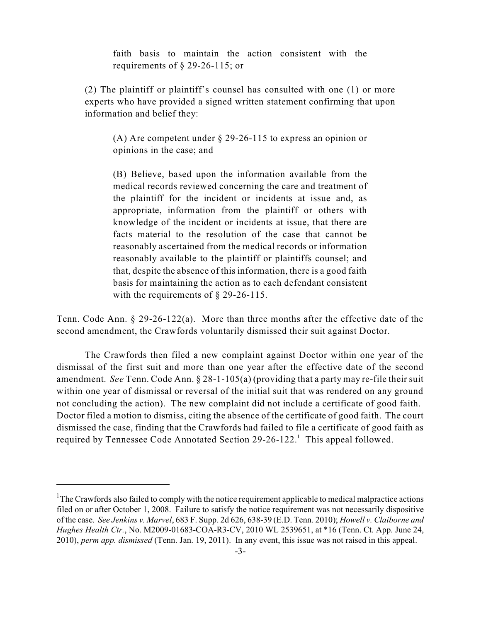faith basis to maintain the action consistent with the requirements of § 29-26-115; or

(2) The plaintiff or plaintiff's counsel has consulted with one (1) or more experts who have provided a signed written statement confirming that upon information and belief they:

(A) Are competent under § 29-26-115 to express an opinion or opinions in the case; and

(B) Believe, based upon the information available from the medical records reviewed concerning the care and treatment of the plaintiff for the incident or incidents at issue and, as appropriate, information from the plaintiff or others with knowledge of the incident or incidents at issue, that there are facts material to the resolution of the case that cannot be reasonably ascertained from the medical records or information reasonably available to the plaintiff or plaintiffs counsel; and that, despite the absence of this information, there is a good faith basis for maintaining the action as to each defendant consistent with the requirements of § 29-26-115.

Tenn. Code Ann. § 29-26-122(a). More than three months after the effective date of the second amendment, the Crawfords voluntarily dismissed their suit against Doctor.

The Crawfords then filed a new complaint against Doctor within one year of the dismissal of the first suit and more than one year after the effective date of the second amendment. *See* Tenn. Code Ann. § 28-1-105(a) (providing that a party may re-file their suit within one year of dismissal or reversal of the initial suit that was rendered on any ground not concluding the action). The new complaint did not include a certificate of good faith. Doctor filed a motion to dismiss, citing the absence of the certificate of good faith. The court dismissed the case, finding that the Crawfords had failed to file a certificate of good faith as required by Tennessee Code Annotated Section 29-26-122.<sup>1</sup> This appeal followed.

 $1$ <sup>1</sup>The Crawfords also failed to comply with the notice requirement applicable to medical malpractice actions filed on or after October 1, 2008. Failure to satisfy the notice requirement was not necessarily dispositive of the case. *See Jenkins v. Marvel*, 683 F. Supp. 2d 626, 638-39 (E.D. Tenn. 2010); *Howell v. Claiborne and Hughes Health Ctr.*, No. M2009-01683-COA-R3-CV, 2010 WL 2539651, at \*16 (Tenn. Ct. App. June 24, 2010), *perm app. dismissed* (Tenn. Jan. 19, 2011). In any event, this issue was not raised in this appeal.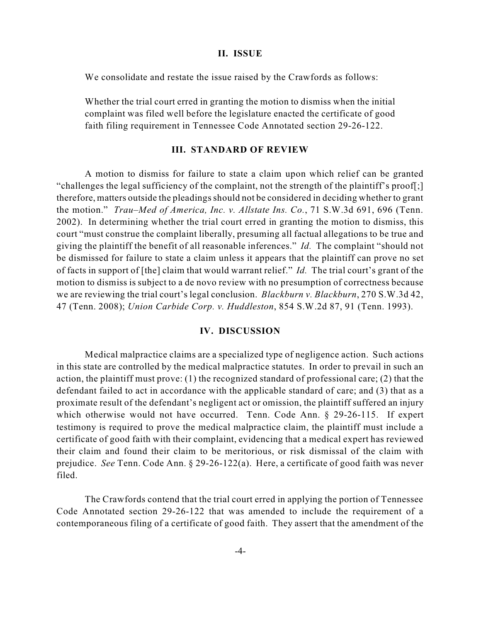#### **II. ISSUE**

We consolidate and restate the issue raised by the Crawfords as follows:

Whether the trial court erred in granting the motion to dismiss when the initial complaint was filed well before the legislature enacted the certificate of good faith filing requirement in Tennessee Code Annotated section 29-26-122.

#### **III. STANDARD OF REVIEW**

A motion to dismiss for failure to state a claim upon which relief can be granted "challenges the legal sufficiency of the complaint, not the strength of the plaintiff's proof[;] therefore, matters outside the pleadings should not be considered in deciding whether to grant the motion." *Trau–Med of America, Inc. v. Allstate Ins. Co.*, 71 S.W.3d 691, 696 (Tenn. 2002). In determining whether the trial court erred in granting the motion to dismiss, this court "must construe the complaint liberally, presuming all factual allegations to be true and giving the plaintiff the benefit of all reasonable inferences." *Id.* The complaint "should not be dismissed for failure to state a claim unless it appears that the plaintiff can prove no set of facts in support of [the] claim that would warrant relief." *Id.* The trial court's grant of the motion to dismiss is subject to a de novo review with no presumption of correctness because we are reviewing the trial court's legal conclusion. *Blackburn v. Blackburn*, 270 S.W.3d 42, 47 (Tenn. 2008); *Union Carbide Corp. v. Huddleston*, 854 S.W.2d 87, 91 (Tenn. 1993).

#### **IV. DISCUSSION**

Medical malpractice claims are a specialized type of negligence action. Such actions in this state are controlled by the medical malpractice statutes. In order to prevail in such an action, the plaintiff must prove: (1) the recognized standard of professional care; (2) that the defendant failed to act in accordance with the applicable standard of care; and (3) that as a proximate result of the defendant's negligent act or omission, the plaintiff suffered an injury which otherwise would not have occurred. Tenn. Code Ann. § 29-26-115. If expert testimony is required to prove the medical malpractice claim, the plaintiff must include a certificate of good faith with their complaint, evidencing that a medical expert has reviewed their claim and found their claim to be meritorious, or risk dismissal of the claim with prejudice. *See* Tenn. Code Ann. § 29-26-122(a). Here, a certificate of good faith was never filed.

The Crawfords contend that the trial court erred in applying the portion of Tennessee Code Annotated section 29-26-122 that was amended to include the requirement of a contemporaneous filing of a certificate of good faith. They assert that the amendment of the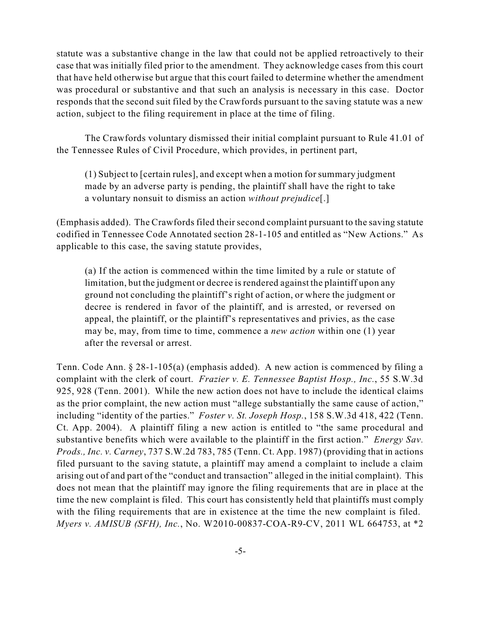statute was a substantive change in the law that could not be applied retroactively to their case that was initially filed prior to the amendment. They acknowledge cases from this court that have held otherwise but argue that this court failed to determine whether the amendment was procedural or substantive and that such an analysis is necessary in this case. Doctor responds that the second suit filed by the Crawfords pursuant to the saving statute was a new action, subject to the filing requirement in place at the time of filing.

The Crawfords voluntary dismissed their initial complaint pursuant to Rule 41.01 of the Tennessee Rules of Civil Procedure, which provides, in pertinent part,

(1) Subject to [certain rules], and except when a motion for summary judgment made by an adverse party is pending, the plaintiff shall have the right to take a voluntary nonsuit to dismiss an action *without prejudice*[.]

(Emphasis added). The Crawfords filed their second complaint pursuant to the saving statute codified in Tennessee Code Annotated section 28-1-105 and entitled as "New Actions." As applicable to this case, the saving statute provides,

(a) If the action is commenced within the time limited by a rule or statute of limitation, but the judgment or decree is rendered against the plaintiff upon any ground not concluding the plaintiff's right of action, or where the judgment or decree is rendered in favor of the plaintiff, and is arrested, or reversed on appeal, the plaintiff, or the plaintiff's representatives and privies, as the case may be, may, from time to time, commence a *new action* within one (1) year after the reversal or arrest.

Tenn. Code Ann. § 28-1-105(a) (emphasis added). A new action is commenced by filing a complaint with the clerk of court. *Frazier v. E. Tennessee Baptist Hosp., Inc.*, 55 S.W.3d 925, 928 (Tenn. 2001). While the new action does not have to include the identical claims as the prior complaint, the new action must "allege substantially the same cause of action," including "identity of the parties." *Foster v. St. Joseph Hosp.*, 158 S.W.3d 418, 422 (Tenn. Ct. App. 2004). A plaintiff filing a new action is entitled to "the same procedural and substantive benefits which were available to the plaintiff in the first action." *Energy Sav. Prods., Inc. v. Carney*, 737 S.W.2d 783, 785 (Tenn. Ct. App. 1987) (providing that in actions filed pursuant to the saving statute, a plaintiff may amend a complaint to include a claim arising out of and part of the "conduct and transaction" alleged in the initial complaint). This does not mean that the plaintiff may ignore the filing requirements that are in place at the time the new complaint is filed. This court has consistently held that plaintiffs must comply with the filing requirements that are in existence at the time the new complaint is filed. *Myers v. AMISUB (SFH), Inc.*, No. W2010-00837-COA-R9-CV, 2011 WL 664753, at \*2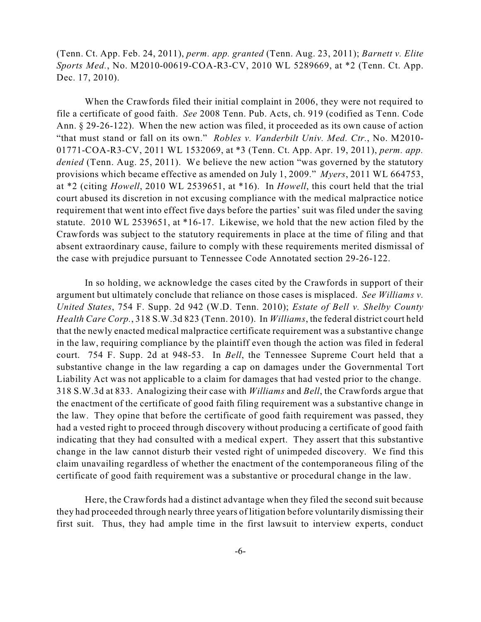(Tenn. Ct. App. Feb. 24, 2011), *perm. app. granted* (Tenn. Aug. 23, 2011); *Barnett v. Elite Sports Med.*, No. M2010-00619-COA-R3-CV, 2010 WL 5289669, at \*2 (Tenn. Ct. App. Dec. 17, 2010).

When the Crawfords filed their initial complaint in 2006, they were not required to file a certificate of good faith. *See* 2008 Tenn. Pub. Acts, ch. 919 (codified as Tenn. Code Ann. § 29-26-122). When the new action was filed, it proceeded as its own cause of action "that must stand or fall on its own." *Robles v. Vanderbilt Univ. Med. Ctr.*, No. M2010- 01771-COA-R3-CV, 2011 WL 1532069, at \*3 (Tenn. Ct. App. Apr. 19, 2011), *perm. app. denied* (Tenn. Aug. 25, 2011). We believe the new action "was governed by the statutory provisions which became effective as amended on July 1, 2009." *Myers*, 2011 WL 664753, at \*2 (citing *Howell*, 2010 WL 2539651, at \*16). In *Howell*, this court held that the trial court abused its discretion in not excusing compliance with the medical malpractice notice requirement that went into effect five days before the parties' suit was filed under the saving statute. 2010 WL 2539651, at \*16-17. Likewise, we hold that the new action filed by the Crawfords was subject to the statutory requirements in place at the time of filing and that absent extraordinary cause, failure to comply with these requirements merited dismissal of the case with prejudice pursuant to Tennessee Code Annotated section 29-26-122.

In so holding, we acknowledge the cases cited by the Crawfords in support of their argument but ultimately conclude that reliance on those cases is misplaced. *See Williams v. United States*, 754 F. Supp. 2d 942 (W.D. Tenn. 2010); *Estate of Bell v. Shelby County Health Care Corp.*, 318 S.W.3d 823 (Tenn. 2010). In *Williams*, the federal district court held that the newly enacted medical malpractice certificate requirement was a substantive change in the law, requiring compliance by the plaintiff even though the action was filed in federal court. 754 F. Supp. 2d at 948-53. In *Bell*, the Tennessee Supreme Court held that a substantive change in the law regarding a cap on damages under the Governmental Tort Liability Act was not applicable to a claim for damages that had vested prior to the change. 318 S.W.3d at 833. Analogizing their case with *Williams* and *Bell*, the Crawfords argue that the enactment of the certificate of good faith filing requirement was a substantive change in the law. They opine that before the certificate of good faith requirement was passed, they had a vested right to proceed through discovery without producing a certificate of good faith indicating that they had consulted with a medical expert. They assert that this substantive change in the law cannot disturb their vested right of unimpeded discovery. We find this claim unavailing regardless of whether the enactment of the contemporaneous filing of the certificate of good faith requirement was a substantive or procedural change in the law.

Here, the Crawfords had a distinct advantage when they filed the second suit because they had proceeded through nearly three years of litigation before voluntarily dismissing their first suit. Thus, they had ample time in the first lawsuit to interview experts, conduct